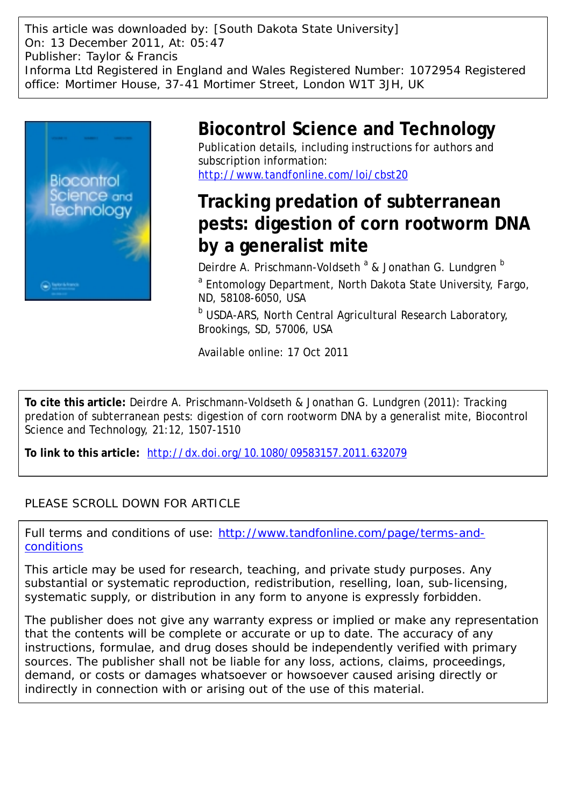This article was downloaded by: [South Dakota State University] On: 13 December 2011, At: 05:47 Publisher: Taylor & Francis Informa Ltd Registered in England and Wales Registered Number: 1072954 Registered office: Mortimer House, 37-41 Mortimer Street, London W1T 3JH, UK



## **Biocontrol Science and Technology**

Publication details, including instructions for authors and subscription information: <http://www.tandfonline.com/loi/cbst20>

# **Tracking predation of subterranean pests: digestion of corn rootworm DNA by a generalist mite**

Deirdre A. Prischmann-Voldseth <sup>a</sup> & Jonathan G. Lundgren <sup>b</sup>

<sup>a</sup> Entomology Department, North Dakota State University, Fargo, ND, 58108-6050, USA

**b USDA-ARS, North Central Agricultural Research Laboratory,** Brookings, SD, 57006, USA

Available online: 17 Oct 2011

**To cite this article:** Deirdre A. Prischmann-Voldseth & Jonathan G. Lundgren (2011): Tracking predation of subterranean pests: digestion of corn rootworm DNA by a generalist mite, Biocontrol Science and Technology, 21:12, 1507-1510

**To link to this article:** <http://dx.doi.org/10.1080/09583157.2011.632079>

## PLEASE SCROLL DOWN FOR ARTICLE

Full terms and conditions of use: [http://www.tandfonline.com/page/terms-and](http://www.tandfonline.com/page/terms-and-conditions)[conditions](http://www.tandfonline.com/page/terms-and-conditions)

This article may be used for research, teaching, and private study purposes. Any substantial or systematic reproduction, redistribution, reselling, loan, sub-licensing, systematic supply, or distribution in any form to anyone is expressly forbidden.

The publisher does not give any warranty express or implied or make any representation that the contents will be complete or accurate or up to date. The accuracy of any instructions, formulae, and drug doses should be independently verified with primary sources. The publisher shall not be liable for any loss, actions, claims, proceedings, demand, or costs or damages whatsoever or howsoever caused arising directly or indirectly in connection with or arising out of the use of this material.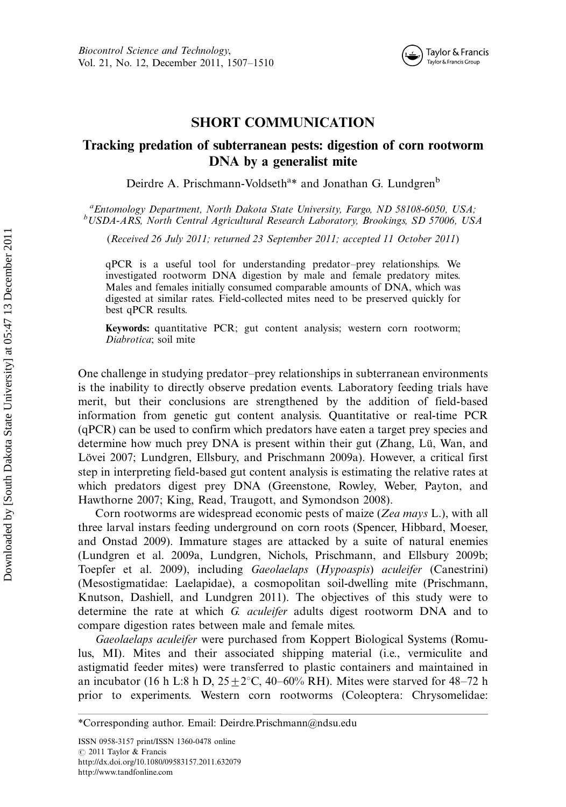

### SHORT COMMUNICATION

### Tracking predation of subterranean pests: digestion of corn rootworm DNA by a generalist mite

Deirdre A. Prischmann-Voldseth<sup>a</sup>\* and Jonathan G. Lundgren<sup>b</sup>

<sup>a</sup> Entomology Department, North Dakota State University, Fargo, ND 58108-6050, USA;<br><sup>b</sup>USDA ARS, North Cantral Agricultural Research Laboratory, Brookings, SD 57006, US USDA-ARS, North Central Agricultural Research Laboratory, Brookings, SD 57006, USA

(Received 26 July 2011; returned 23 September 2011; accepted 11 October 2011)

qPCR is a useful tool for understanding predator-prey relationships. We investigated rootworm DNA digestion by male and female predatory mites. Males and females initially consumed comparable amounts of DNA, which was digested at similar rates. Field-collected mites need to be preserved quickly for best qPCR results.

Keywords: quantitative PCR; gut content analysis; western corn rootworm; Diabrotica; soil mite

One challenge in studying predator-prey relationships in subterranean environments is the inability to directly observe predation events. Laboratory feeding trials have merit, but their conclusions are strengthened by the addition of field-based information from genetic gut content analysis. Quantitative or real-time PCR (qPCR) can be used to confirm which predators have eaten a target prey species and determine how much prey DNA is present within their gut (Zhang, Lü, Wan, and Lövei 2007; Lundgren, Ellsbury, and Prischmann 2009a). However, a critical first step in interpreting field-based gut content analysis is estimating the relative rates at which predators digest prey DNA (Greenstone, Rowley, Weber, Payton, and Hawthorne 2007; King, Read, Traugott, and Symondson 2008).

Corn rootworms are widespread economic pests of maize (Zea mays L.), with all three larval instars feeding underground on corn roots (Spencer, Hibbard, Moeser, and Onstad 2009). Immature stages are attacked by a suite of natural enemies (Lundgren et al. 2009a, Lundgren, Nichols, Prischmann, and Ellsbury 2009b; Toepfer et al. 2009), including Gaeolaelaps (Hypoaspis) aculeifer (Canestrini) (Mesostigmatidae: Laelapidae), a cosmopolitan soil-dwelling mite (Prischmann, Knutson, Dashiell, and Lundgren 2011). The objectives of this study were to determine the rate at which G. aculeifer adults digest rootworm DNA and to compare digestion rates between male and female mites.

Gaeolaelaps aculeifer were purchased from Koppert Biological Systems (Romulus, MI). Mites and their associated shipping material (i.e., vermiculite and astigmatid feeder mites) were transferred to plastic containers and maintained in an incubator (16 h L:8 h D,  $25\pm2\degree$ C, 40–60% RH). Mites were starved for 48–72 h prior to experiments. Western corn rootworms (Coleoptera: Chrysomelidae:

<sup>\*</sup>Corresponding author. Email: Deirdre.Prischmann@ndsu.edu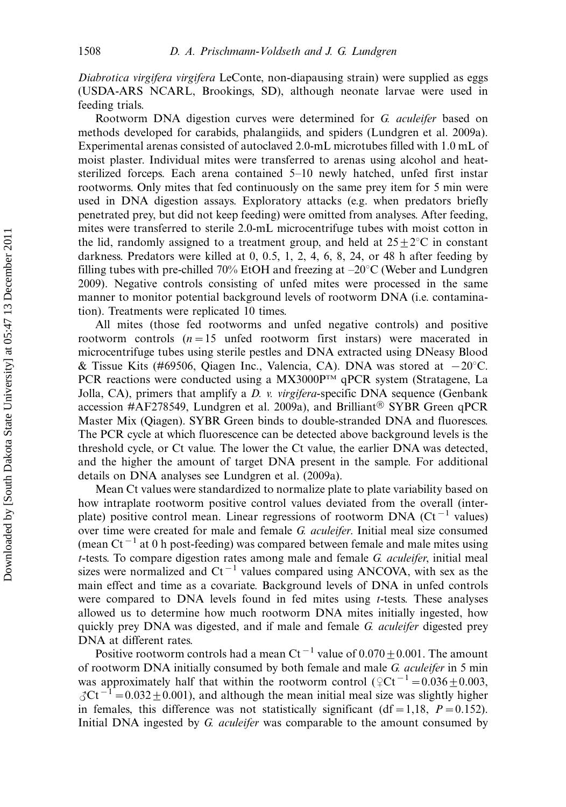Diabrotica virgifera virgifera LeConte, non-diapausing strain) were supplied as eggs (USDA-ARS NCARL, Brookings, SD), although neonate larvae were used in feeding trials.

Rootworm DNA digestion curves were determined for G. aculeifer based on methods developed for carabids, phalangiids, and spiders (Lundgren et al. 2009a). Experimental arenas consisted of autoclaved 2.0-mL microtubes filled with 1.0 mL of moist plaster. Individual mites were transferred to arenas using alcohol and heatsterilized forceps. Each arena contained  $5-10$  newly hatched, unfed first instar rootworms. Only mites that fed continuously on the same prey item for 5 min were used in DNA digestion assays. Exploratory attacks (e.g. when predators briefly penetrated prey, but did not keep feeding) were omitted from analyses. After feeding, mites were transferred to sterile 2.0-mL microcentrifuge tubes with moist cotton in the lid, randomly assigned to a treatment group, and held at  $25 \pm 2^{\circ}$ C in constant darkness. Predators were killed at 0, 0.5, 1, 2, 4, 6, 8, 24, or 48 h after feeding by filling tubes with pre-chilled 70% EtOH and freezing at  $-20^{\circ}$ C (Weber and Lundgren 2009). Negative controls consisting of unfed mites were processed in the same manner to monitor potential background levels of rootworm DNA (i.e. contamination). Treatments were replicated 10 times.

All mites (those fed rootworms and unfed negative controls) and positive rootworm controls  $(n=15 \text{ under root}$  rootworm first instars) were macerated in microcentrifuge tubes using sterile pestles and DNA extracted using DNeasy Blood & Tissue Kits (#69506, Qiagen Inc., Valencia, CA). DNA was stored at  $-20^{\circ}$ C. PCR reactions were conducted using a  $MX3000P<sup>TM</sup>$  qPCR system (Stratagene, La Jolla, CA), primers that amplify a *D. v. virgifera*-specific DNA sequence (Genbank accession #AF278549, Lundgren et al. 2009a), and Brilliant<sup>®</sup> SYBR Green qPCR Master Mix (Qiagen). SYBR Green binds to double-stranded DNA and fluoresces. The PCR cycle at which fluorescence can be detected above background levels is the threshold cycle, or Ct value. The lower the Ct value, the earlier DNA was detected, and the higher the amount of target DNA present in the sample. For additional details on DNA analyses see Lundgren et al. (2009a).

Mean Ct values were standardized to normalize plate to plate variability based on how intraplate rootworm positive control values deviated from the overall (interplate) positive control mean. Linear regressions of rootworm DNA ( $Ct^{-1}$  values) over time were created for male and female G. aculeifer. Initial meal size consumed (mean Ct<sup>-1</sup> at 0 h post-feeding) was compared between female and male mites using  $t$ -tests. To compare digestion rates among male and female  $G$ . *aculeifer*, initial meal sizes were normalized and  $Ct^{-1}$  values compared using ANCOVA, with sex as the main effect and time as a covariate. Background levels of DNA in unfed controls were compared to DNA levels found in fed mites using t-tests. These analyses allowed us to determine how much rootworm DNA mites initially ingested, how quickly prey DNA was digested, and if male and female G. aculeifer digested prey DNA at different rates.

Positive rootworm controls had a mean Ct<sup>-1</sup> value of  $0.070+0.001$ . The amount of rootworm DNA initially consumed by both female and male G. aculeifer in 5 min was approximately half that within the rootworm control ( $\varphi$ Ct<sup>-1</sup> = 0.036  $\pm$  0.003,  $\gamma$ Ct<sup>-1</sup> = 0.032  $\pm$  0.001), and although the mean initial meal size was slightly higher in females, this difference was not statistically significant (df = 1,18,  $P = 0.152$ ). Initial DNA ingested by G. aculeifer was comparable to the amount consumed by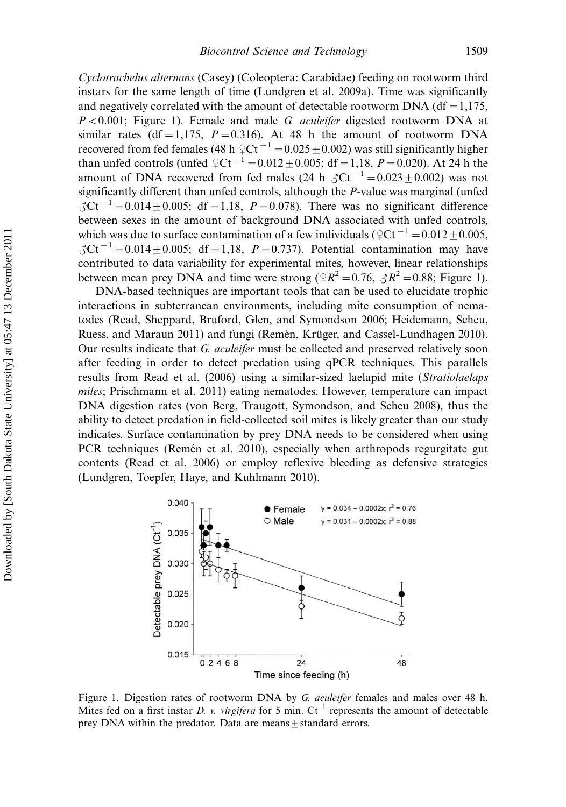Cyclotrachelus alternans (Casey) (Coleoptera: Carabidae) feeding on rootworm third instars for the same length of time (Lundgren et al. 2009a). Time was significantly and negatively correlated with the amount of detectable rootworm  $DNA$  (df = 1,175,  $P < 0.001$ ; Figure 1). Female and male G. *aculeifer* digested rootworm DNA at similar rates (df = 1,175,  $P = 0.316$ ). At 48 h the amount of rootworm DNA recovered from fed females (48 h  $\textcirc{}Ct^{-1} = 0.025 \pm 0.002$ ) was still significantly higher than unfed controls (unfed  $\angle$ Ct<sup>-1</sup> = 0.012  $\pm$  0.005; df = 1,18, P = 0.020). At 24 h the amount of DNA recovered from fed males  $(24 h \delta C t^{-1} = 0.023 \pm 0.002)$  was not significantly different than unfed controls, although the P-value was marginal (unfed  $C_0$ Ct<sup>-1</sup> = 0.014 ± 0.005; df = 1,18, P = 0.078). There was no significant difference between sexes in the amount of background DNA associated with unfed controls, which was due to surface contamination of a few individuals ( $\varphi$ Ct<sup>-1</sup> = 0.012  $\pm$  0.005,  $C_0$ Ct<sup>-1</sup> = 0.014 ± 0.005; df = 1,18, P = 0.737). Potential contamination may have contributed to data variability for experimental mites, however, linear relationships between mean prey DNA and time were strong ( $\mathcal{R}^2 = 0.76$ ,  $\mathcal{R}^2 = 0.88$ ; Figure 1).

DNA-based techniques are important tools that can be used to elucidate trophic interactions in subterranean environments, including mite consumption of nematodes (Read, Sheppard, Bruford, Glen, and Symondson 2006; Heidemann, Scheu, Ruess, and Maraun 2011) and fungi (Remén, Krüger, and Cassel-Lundhagen 2010). Our results indicate that G. aculeifer must be collected and preserved relatively soon after feeding in order to detect predation using qPCR techniques. This parallels results from Read et al. (2006) using a similar-sized laelapid mite (Stratiolaelaps miles; Prischmann et al. 2011) eating nematodes. However, temperature can impact DNA digestion rates (von Berg, Traugott, Symondson, and Scheu 2008), thus the ability to detect predation in field-collected soil mites is likely greater than our study indicates. Surface contamination by prey DNA needs to be considered when using PCR techniques (Remén et al. 2010), especially when arthropods regurgitate gut contents (Read et al. 2006) or employ reflexive bleeding as defensive strategies (Lundgren, Toepfer, Haye, and Kuhlmann 2010).



Figure 1. Digestion rates of rootworm DNA by G. aculeifer females and males over 48 h. Mites fed on a first instar D. v. virgifera for 5 min.  $Ct^{-1}$  represents the amount of detectable prey DNA within the predator. Data are means $\pm$ standard errors.